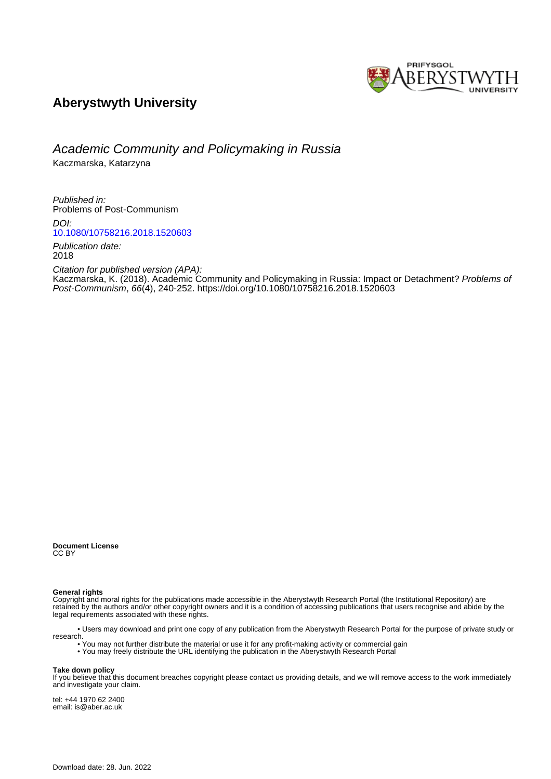

## **Aberystwyth University**

Academic Community and Policymaking in Russia

Kaczmarska, Katarzyna

Published in: Problems of Post-Communism

DOI: [10.1080/10758216.2018.1520603](https://doi.org/10.1080/10758216.2018.1520603)

Publication date: 2018

Citation for published version (APA): Kaczmarska, K. (2018). [Academic Community and Policymaking in Russia: Impact or Detachment?](https://pure.aber.ac.uk/portal/en/publications/academic-community-and-policymaking-in-russia(ccf04623-2f8e-46f4-a64f-3bb0502fc2e2).html) Problems of Post-Communism, 66(4), 240-252.<https://doi.org/10.1080/10758216.2018.1520603>

**Document License** CC BY

**General rights**

Copyright and moral rights for the publications made accessible in the Aberystwyth Research Portal (the Institutional Repository) are retained by the authors and/or other copyright owners and it is a condition of accessing publications that users recognise and abide by the legal requirements associated with these rights.

 • Users may download and print one copy of any publication from the Aberystwyth Research Portal for the purpose of private study or research.

• You may not further distribute the material or use it for any profit-making activity or commercial gain

• You may freely distribute the URL identifying the publication in the Aberystwyth Research Portal

#### **Take down policy**

If you believe that this document breaches copyright please contact us providing details, and we will remove access to the work immediately and investigate your claim.

tel: +44 1970 62 2400 email: is@aber.ac.uk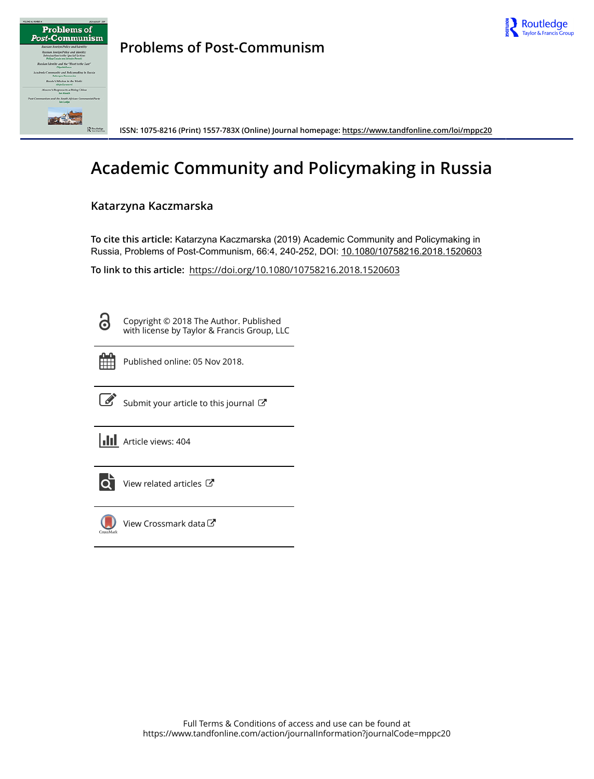



**Problems of Post-Communism**

**ISSN: 1075-8216 (Print) 1557-783X (Online) Journal homepage: <https://www.tandfonline.com/loi/mppc20>**

# **Academic Community and Policymaking in Russia**

### **Katarzyna Kaczmarska**

**To cite this article:** Katarzyna Kaczmarska (2019) Academic Community and Policymaking in Russia, Problems of Post-Communism, 66:4, 240-252, DOI: [10.1080/10758216.2018.1520603](https://www.tandfonline.com/action/showCitFormats?doi=10.1080/10758216.2018.1520603)

**To link to this article:** <https://doi.org/10.1080/10758216.2018.1520603>

3

Copyright © 2018 The Author. Published with license by Taylor & Francis Group, LLC



Published online: 05 Nov 2018.



 $\overrightarrow{S}$  [Submit your article to this journal](https://www.tandfonline.com/action/authorSubmission?journalCode=mppc20&show=instructions)  $\overrightarrow{S}$ 





View related articles



[View Crossmark data](http://crossmark.crossref.org/dialog/?doi=10.1080/10758216.2018.1520603&domain=pdf&date_stamp=2018-11-05)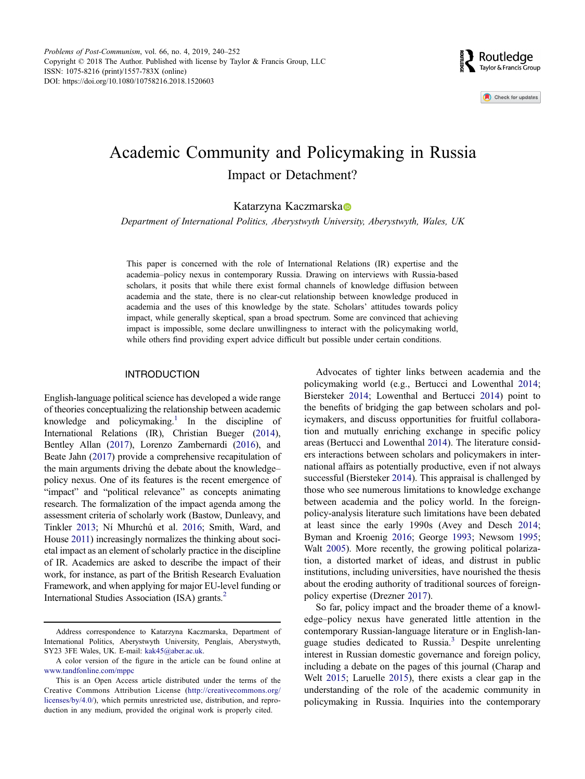

Check for updates

## <span id="page-2-0"></span>Academic Community and Policymaking in Russia Impact or Detachment?

Katarzyna Kaczmarsk[a](http://orcid.org/0000-0003-4208-5869)

Department of International Politics, Aberystwyth University, Aberystwyth, Wales, UK

This paper is concerned with the role of International Relations (IR) expertise and the academia–policy nexus in contemporary Russia. Drawing on interviews with Russia-based scholars, it posits that while there exist formal channels of knowledge diffusion between academia and the state, there is no clear-cut relationship between knowledge produced in academia and the uses of this knowledge by the state. Scholars' attitudes towards policy impact, while generally skeptical, span a broad spectrum. Some are convinced that achieving impact is impossible, some declare unwillingness to interact with the policymaking world, while others find providing expert advice difficult but possible under certain conditions.

#### INTRODUCTION

English-language political science has developed a wide range of theories conceptualizing the relationship between academic knowledge and policymaking.<sup>[1](#page-11-0)</sup> In the discipline of International Relations (IR), Christian Bueger ([2014](#page-12-0)), Bentley Allan [\(2017](#page-12-0)), Lorenzo Zambernardi ([2016](#page-14-0)), and Beate Jahn ([2017](#page-13-0)) provide a comprehensive recapitulation of the main arguments driving the debate about the knowledge– policy nexus. One of its features is the recent emergence of "impact" and "political relevance" as concepts animating research. The formalization of the impact agenda among the assessment criteria of scholarly work (Bastow, Dunleavy, and Tinkler [2013](#page-12-0); Ní Mhurchú et al. [2016](#page-13-0); Smith, Ward, and House [2011\)](#page-14-0) increasingly normalizes the thinking about societal impact as an element of scholarly practice in the discipline of IR. Academics are asked to describe the impact of their work, for instance, as part of the British Research Evaluation Framework, and when applying for major EU-level funding or International Studies Association (ISA) grants.<sup>2</sup>

Advocates of tighter links between academia and the policymaking world (e.g., Bertucci and Lowenthal [2014](#page-13-0); Biersteker [2014](#page-12-0); Lowenthal and Bertucci [2014](#page-12-0)) point to the benefits of bridging the gap between scholars and policymakers, and discuss opportunities for fruitful collaboration and mutually enriching exchange in specific policy areas (Bertucci and Lowenthal [2014](#page-13-0)). The literature considers interactions between scholars and policymakers in international affairs as potentially productive, even if not always successful (Biersteker [2014](#page-12-0)). This appraisal is challenged by those who see numerous limitations to knowledge exchange between academia and the policy world. In the foreignpolicy-analysis literature such limitations have been debated at least since the early 1990s (Avey and Desch [2014](#page-12-0); Byman and Kroenig [2016](#page-12-0); George [1993](#page-13-0); Newsom [1995](#page-13-0); Walt [2005](#page-14-0)). More recently, the growing political polarization, a distorted market of ideas, and distrust in public institutions, including universities, have nourished the thesis about the eroding authority of traditional sources of foreignpolicy expertise (Drezner [2017\)](#page-13-0).

So far, policy impact and the broader theme of a knowledge–policy nexus have generated little attention in the contemporary Russian-language literature or in English-language studies dedicated to Russia. $3$  Despite unrelenting interest in Russian domestic governance and foreign policy, including a debate on the pages of this journal (Charap and Welt [2015](#page-12-0); Laruelle [2015\)](#page-13-0), there exists a clear gap in the understanding of the role of the academic community in policymaking in Russia. Inquiries into the contemporary

Address correspondence to Katarzyna Kaczmarska, Department of International Politics, Aberystwyth University, Penglais, Aberystwyth, SY23 3FE Wales, UK. E-mail: kak45@aber.ac.uk.

A color version of the figure in the article can be found online at [www.tandfonline.com/mppc](http://www.tandfonline.com/mppc)

This is an Open Access article distributed under the terms of the Creative Commons Attribution License (http://creativecommons.org/ licenses/by/4.0/), which permits unrestricted use, distribution, and reproduction in any medium, provided the original work is properly cited.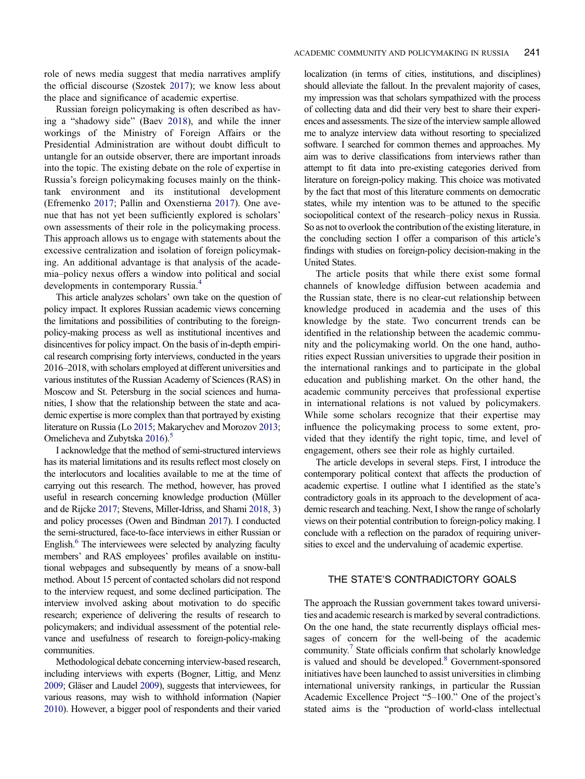<span id="page-3-0"></span>role of news media suggest that media narratives amplify the official discourse (Szostek [2017](#page-14-0)); we know less about the place and significance of academic expertise.

Russian foreign policymaking is often described as having a "shadowy side" (Baev [2018\)](#page-12-0), and while the inner workings of the Ministry of Foreign Affairs or the Presidential Administration are without doubt difficult to untangle for an outside observer, there are important inroads into the topic. The existing debate on the role of expertise in Russia's foreign policymaking focuses mainly on the thinktank environment and its institutional development (Efremenko [2017;](#page-13-0) Pallin and Oxenstierna [2017](#page-13-0)). One avenue that has not yet been sufficiently explored is scholars' own assessments of their role in the policymaking process. This approach allows us to engage with statements about the excessive centralization and isolation of foreign policymaking. An additional advantage is that analysis of the academia–policy nexus offers a window into political and social developments in contemporary Russia.<sup>4</sup>

This article analyzes scholars' own take on the question of policy impact. It explores Russian academic views concerning the limitations and possibilities of contributing to the foreignpolicy-making process as well as institutional incentives and disincentives for policy impact. On the basis of in-depth empirical research comprising forty interviews, conducted in the years 2016–2018, with scholars employed at different universities and various institutes of the Russian Academy of Sciences (RAS) in Moscow and St. Petersburg in the social sciences and humanities, I show that the relationship between the state and academic expertise is more complex than that portrayed by existing literature on Russia (Lo [2015](#page-13-0); Makarychev and Morozov [2013](#page-13-0); Omelicheva and Zubytska [2016\)](#page-13-0).<sup>5</sup>

I acknowledge that the method of semi-structured interviews has its material limitations and its results reflect most closely on the interlocutors and localities available to me at the time of carrying out this research. The method, however, has proved useful in research concerning knowledge production (Müller and de Rijcke [2017;](#page-13-0) Stevens, Miller-Idriss, and Shami [2018](#page-14-0), 3) and policy processes (Owen and Bindman [2017](#page-13-0)). I conducted the semi-structured, face-to-face interviews in either Russian or English.<sup>6</sup> The interviewees were selected by analyzing faculty members' and RAS employees' profiles available on institutional webpages and subsequently by means of a snow-ball method. About 15 percent of contacted scholars did not respond to the interview request, and some declined participation. The interview involved asking about motivation to do specific research; experience of delivering the results of research to policymakers; and individual assessment of the potential relevance and usefulness of research to foreign-policy-making communities.

Methodological debate concerning interview-based research, including interviews with experts (Bogner, Littig, and Menz [2009;](#page-12-0) Gläser and Laudel [2009\)](#page-13-0), suggests that interviewees, for various reasons, may wish to withhold information (Napier [2010\)](#page-13-0). However, a bigger pool of respondents and their varied localization (in terms of cities, institutions, and disciplines) should alleviate the fallout. In the prevalent majority of cases, my impression was that scholars sympathized with the process of collecting data and did their very best to share their experiences and assessments. The size of the interview sample allowed me to analyze interview data without resorting to specialized software. I searched for common themes and approaches. My aim was to derive classifications from interviews rather than attempt to fit data into pre-existing categories derived from literature on foreign-policy making. This choice was motivated by the fact that most of this literature comments on democratic states, while my intention was to be attuned to the specific sociopolitical context of the research–policy nexus in Russia. So as not to overlook the contribution of the existing literature, in the concluding section I offer a comparison of this article's findings with studies on foreign-policy decision-making in the United States.

The article posits that while there exist some formal channels of knowledge diffusion between academia and the Russian state, there is no clear-cut relationship between knowledge produced in academia and the uses of this knowledge by the state. Two concurrent trends can be identified in the relationship between the academic community and the policymaking world. On the one hand, authorities expect Russian universities to upgrade their position in the international rankings and to participate in the global education and publishing market. On the other hand, the academic community perceives that professional expertise in international relations is not valued by policymakers. While some scholars recognize that their expertise may influence the policymaking process to some extent, provided that they identify the right topic, time, and level of engagement, others see their role as highly curtailed.

The article develops in several steps. First, I introduce the contemporary political context that affects the production of academic expertise. I outline what I identified as the state's contradictory goals in its approach to the development of academic research and teaching. Next, I show the range of scholarly views on their potential contribution to foreign-policy making. I conclude with a reflection on the paradox of requiring universities to excel and the undervaluing of academic expertise.

#### THE STATE'S CONTRADICTORY GOALS

The approach the Russian government takes toward universities and academic research is marked by several contradictions. On the one hand, the state recurrently displays official messages of concern for the well-being of the academic community.<sup>[7](#page-11-0)</sup> State officials confirm that scholarly knowledge is valued and should be developed.<sup>[8](#page-11-0)</sup> Government-sponsored initiatives have been launched to assist universities in climbing international university rankings, in particular the Russian Academic Excellence Project "5–100." One of the project's stated aims is the "production of world-class intellectual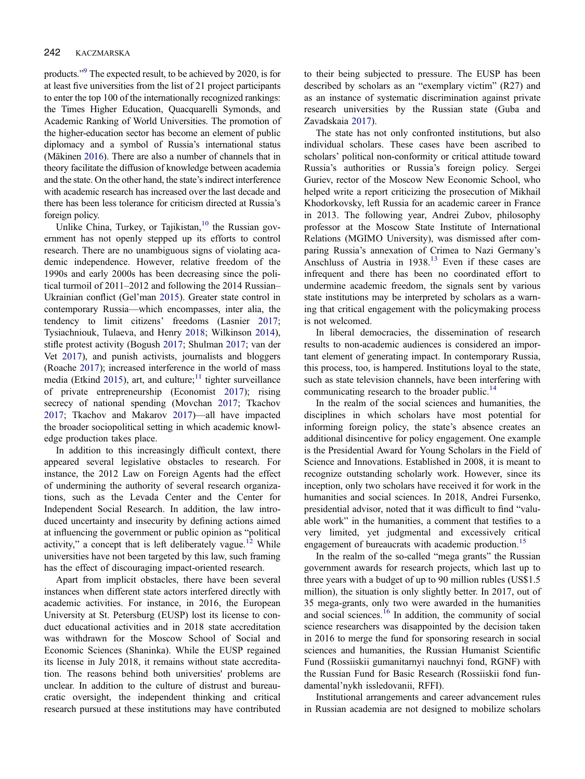<span id="page-4-0"></span>products." [9](#page-11-0) The expected result, to be achieved by 2020, is for at least five universities from the list of 21 project participants to enter the top 100 of the internationally recognized rankings: the Times Higher Education, Quacquarelli Symonds, and Academic Ranking of World Universities. The promotion of the higher-education sector has become an element of public diplomacy and a symbol of Russia's international status (Mäkinen [2016](#page-13-0)). There are also a number of channels that in theory facilitate the diffusion of knowledge between academia and the state. On the other hand, the state's indirect interference with academic research has increased over the last decade and there has been less tolerance for criticism directed at Russia's foreign policy.

Unlike China, Turkey, or Tajikistan,<sup>[10](#page-11-0)</sup> the Russian government has not openly stepped up its efforts to control research. There are no unambiguous signs of violating academic independence. However, relative freedom of the 1990s and early 2000s has been decreasing since the political turmoil of 2011–2012 and following the 2014 Russian– Ukrainian conflict (Gel'man [2015](#page-13-0)). Greater state control in contemporary Russia—which encompasses, inter alia, the tendency to limit citizens' freedoms (Lasnier [2017](#page-13-0); Tysiachniouk, Tulaeva, and Henry [2018](#page-14-0); Wilkinson [2014](#page-14-0)), stifle protest activity (Bogush [2017;](#page-12-0) Shulman [2017](#page-14-0); van der Vet [2017](#page-14-0)), and punish activists, journalists and bloggers (Roache [2017](#page-14-0)); increased interference in the world of mass media (Etkind [2015](#page-13-0)), art, and culture; $11$  tighter surveillance of private entrepreneurship (Economist [2017\)](#page-13-0); rising secrecy of national spending (Movchan [2017](#page-13-0); Tkachov [2017;](#page-14-0) Tkachov and Makarov [2017](#page-14-0))—all have impacted the broader sociopolitical setting in which academic knowledge production takes place.

In addition to this increasingly difficult context, there appeared several legislative obstacles to research. For instance, the 2012 Law on Foreign Agents had the effect of undermining the authority of several research organizations, such as the Levada Center and the Center for Independent Social Research. In addition, the law introduced uncertainty and insecurity by defining actions aimed at influencing the government or public opinion as "political activity," a concept that is left deliberately vague.<sup>[12](#page-11-0)</sup> While universities have not been targeted by this law, such framing has the effect of discouraging impact-oriented research.

Apart from implicit obstacles, there have been several instances when different state actors interfered directly with academic activities. For instance, in 2016, the European University at St. Petersburg (EUSP) lost its license to conduct educational activities and in 2018 state accreditation was withdrawn for the Moscow School of Social and Economic Sciences (Shaninka). While the EUSP regained its license in July 2018, it remains without state accreditation. The reasons behind both universities' problems are unclear. In addition to the culture of distrust and bureaucratic oversight, the independent thinking and critical research pursued at these institutions may have contributed to their being subjected to pressure. The EUSP has been described by scholars as an "exemplary victim" (R27) and as an instance of systematic discrimination against private research universities by the Russian state (Guba and Zavadskaia [2017](#page-13-0)).

The state has not only confronted institutions, but also individual scholars. These cases have been ascribed to scholars' political non-conformity or critical attitude toward Russia's authorities or Russia's foreign policy. Sergei Guriev, rector of the Moscow New Economic School, who helped write a report criticizing the prosecution of Mikhail Khodorkovsky, left Russia for an academic career in France in 2013. The following year, Andrei Zubov, philosophy professor at the Moscow State Institute of International Relations (MGIMO University), was dismissed after comparing Russia's annexation of Crimea to Nazi Germany's Anschluss of Austria in  $1938$ <sup>[13](#page-11-0)</sup> Even if these cases are infrequent and there has been no coordinated effort to undermine academic freedom, the signals sent by various state institutions may be interpreted by scholars as a warning that critical engagement with the policymaking process is not welcomed.

In liberal democracies, the dissemination of research results to non-academic audiences is considered an important element of generating impact. In contemporary Russia, this process, too, is hampered. Institutions loyal to the state, such as state television channels, have been interfering with communicating research to the broader public.<sup>[14](#page-11-0)</sup>

In the realm of the social sciences and humanities, the disciplines in which scholars have most potential for informing foreign policy, the state's absence creates an additional disincentive for policy engagement. One example is the Presidential Award for Young Scholars in the Field of Science and Innovations. Established in 2008, it is meant to recognize outstanding scholarly work. However, since its inception, only two scholars have received it for work in the humanities and social sciences. In 2018, Andrei Fursenko, presidential advisor, noted that it was difficult to find "valuable work" in the humanities, a comment that testifies to a very limited, yet judgmental and excessively critical engagement of bureaucrats with academic production.<sup>[15](#page-11-0)</sup>

In the realm of the so-called "mega grants" the Russian government awards for research projects, which last up to three years with a budget of up to 90 million rubles (US\$1.5 million), the situation is only slightly better. In 2017, out of 35 mega-grants, only two were awarded in the humanities and social sciences.<sup>[16](#page-11-0)</sup> In addition, the community of social science researchers was disappointed by the decision taken in 2016 to merge the fund for sponsoring research in social sciences and humanities, the Russian Humanist Scientific Fund (Rossiiskii gumanitarnyi nauchnyi fond, RGNF) with the Russian Fund for Basic Research (Rossiiskii fond fundamental'nykh issledovanii, RFFI).

Institutional arrangements and career advancement rules in Russian academia are not designed to mobilize scholars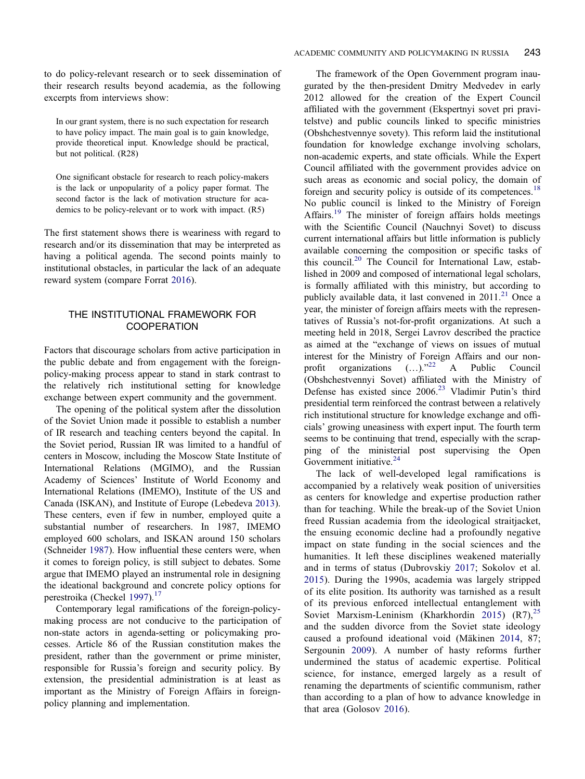<span id="page-5-0"></span>to do policy-relevant research or to seek dissemination of their research results beyond academia, as the following excerpts from interviews show:

In our grant system, there is no such expectation for research to have policy impact. The main goal is to gain knowledge, provide theoretical input. Knowledge should be practical, but not political. (R28)

One significant obstacle for research to reach policy-makers is the lack or unpopularity of a policy paper format. The second factor is the lack of motivation structure for academics to be policy-relevant or to work with impact. (R5)

The first statement shows there is weariness with regard to research and/or its dissemination that may be interpreted as having a political agenda. The second points mainly to institutional obstacles, in particular the lack of an adequate reward system (compare Forrat [2016](#page-13-0)).

#### THE INSTITUTIONAL FRAMEWORK FOR **COOPERATION**

Factors that discourage scholars from active participation in the public debate and from engagement with the foreignpolicy-making process appear to stand in stark contrast to the relatively rich institutional setting for knowledge exchange between expert community and the government.

The opening of the political system after the dissolution of the Soviet Union made it possible to establish a number of IR research and teaching centers beyond the capital. In the Soviet period, Russian IR was limited to a handful of centers in Moscow, including the Moscow State Institute of International Relations (MGIMO), and the Russian Academy of Sciences' Institute of World Economy and International Relations (IMEMO), Institute of the US and Canada (ISKAN), and Institute of Europe (Lebedeva [2013](#page-13-0)). These centers, even if few in number, employed quite a substantial number of researchers. In 1987, IMEMO employed 600 scholars, and ISKAN around 150 scholars (Schneider [1987\)](#page-14-0). How influential these centers were, when it comes to foreign policy, is still subject to debates. Some argue that IMEMO played an instrumental role in designing the ideational background and concrete policy options for perestroika (Checkel [1997\)](#page-12-0).<sup>[17](#page-11-0)</sup>

Contemporary legal ramifications of the foreign-policymaking process are not conducive to the participation of non-state actors in agenda-setting or policymaking processes. Article 86 of the Russian constitution makes the president, rather than the government or prime minister, responsible for Russia's foreign and security policy. By extension, the presidential administration is at least as important as the Ministry of Foreign Affairs in foreignpolicy planning and implementation.

The framework of the Open Government program inaugurated by the then-president Dmitry Medvedev in early 2012 allowed for the creation of the Expert Council affiliated with the government (Ekspertnyi sovet pri pravitelstve) and public councils linked to specific ministries (Obshchestvennye sovety). This reform laid the institutional foundation for knowledge exchange involving scholars, non-academic experts, and state officials. While the Expert Council affiliated with the government provides advice on such areas as economic and social policy, the domain of foreign and security policy is outside of its competences.<sup>[18](#page-12-0)</sup> No public council is linked to the Ministry of Foreign Affairs.<sup>[19](#page-12-0)</sup> The minister of foreign affairs holds meetings with the Scientific Council (Nauchnyi Sovet) to discuss current international affairs but little information is publicly available concerning the composition or specific tasks of this council.<sup>[20](#page-12-0)</sup> The Council for International Law, established in 2009 and composed of international legal scholars, is formally affiliated with this ministry, but according to publicly available data, it last convened in  $2011$ <sup>[21](#page-12-0)</sup> Once a year, the minister of foreign affairs meets with the representatives of Russia's not-for-profit organizations. At such a meeting held in 2018, Sergei Lavrov described the practice as aimed at the "exchange of views on issues of mutual interest for the Ministry of Foreign Affairs and our non-profit organizations (...)."<sup>[22](#page-12-0)</sup> A Public Council (Obshchestvennyi Sovet) affiliated with the Ministry of Defense has existed since  $2006<sup>23</sup>$  $2006<sup>23</sup>$  $2006<sup>23</sup>$  Vladimir Putin's third presidential term reinforced the contrast between a relatively rich institutional structure for knowledge exchange and officials' growing uneasiness with expert input. The fourth term seems to be continuing that trend, especially with the scrapping of the ministerial post supervising the Open Government initiative.<sup>[24](#page-12-0)</sup>

The lack of well-developed legal ramifications is accompanied by a relatively weak position of universities as centers for knowledge and expertise production rather than for teaching. While the break-up of the Soviet Union freed Russian academia from the ideological straitjacket, the ensuing economic decline had a profoundly negative impact on state funding in the social sciences and the humanities. It left these disciplines weakened materially and in terms of status (Dubrovskiy [2017](#page-13-0); Sokolov et al. [2015](#page-14-0)). During the 1990s, academia was largely stripped of its elite position. Its authority was tarnished as a result of its previous enforced intellectual entanglement with Soviet Marxism-Leninism (Kharkhordin [2015\)](#page-13-0)  $(R7)$ ,<sup>[25](#page-12-0)</sup> and the sudden divorce from the Soviet state ideology caused a profound ideational void (Mäkinen [2014](#page-13-0), 87; Sergounin [2009](#page-14-0)). A number of hasty reforms further undermined the status of academic expertise. Political science, for instance, emerged largely as a result of renaming the departments of scientific communism, rather than according to a plan of how to advance knowledge in that area (Golosov [2016](#page-13-0)).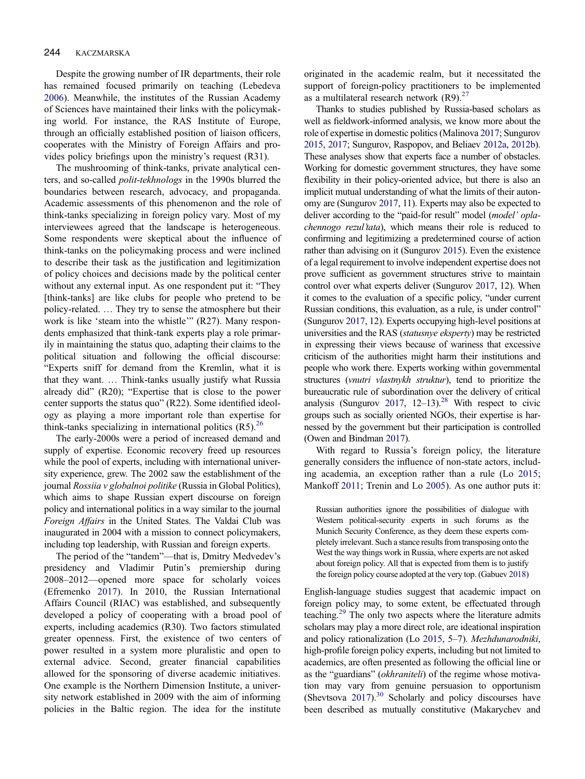<span id="page-6-0"></span>Despite the growing number of IR departments, their role has remained focused primarily on teaching (Lebedeva [2006\)](#page-13-0). Meanwhile, the institutes of the Russian Academy of Sciences have maintained their links with the policymaking world. For instance, the RAS Institute of Europe, through an officially established position of liaison officers, cooperates with the Ministry of Foreign Affairs and provides policy briefings upon the ministry's request (R31).

The mushrooming of think-tanks, private analytical centers, and so-called polit-tekhnologs in the 1990s blurred the boundaries between research, advocacy, and propaganda. Academic assessments of this phenomenon and the role of think-tanks specializing in foreign policy vary. Most of my interviewees agreed that the landscape is heterogeneous. Some respondents were skeptical about the influence of think-tanks on the policymaking process and were inclined to describe their task as the justification and legitimization of policy choices and decisions made by the political center without any external input. As one respondent put it: "They [think-tanks] are like clubs for people who pretend to be policy-related. … They try to sense the atmosphere but their work is like 'steam into the whistle'" (R27). Many respondents emphasized that think-tank experts play a role primarily in maintaining the status quo, adapting their claims to the political situation and following the official discourse: "Experts sniff for demand from the Kremlin, what it is that they want. … Think-tanks usually justify what Russia already did" (R20); "Expertise that is close to the power center supports the status quo" (R22). Some identified ideology as playing a more important role than expertise for think-tanks specializing in international politics  $(R5)$ .<sup>[26](#page-12-0)</sup>

The early-2000s were a period of increased demand and supply of expertise. Economic recovery freed up resources while the pool of experts, including with international university experience, grew. The 2002 saw the establishment of the journal Rossiia v globalnoi politike (Russia in Global Politics), which aims to shape Russian expert discourse on foreign policy and international politics in a way similar to the journal Foreign Affairs in the United States. The Valdai Club was inaugurated in 2004 with a mission to connect policymakers, including top leadership, with Russian and foreign experts.

The period of the "tandem"—that is, Dmitry Medvedev's presidency and Vladimir Putin's premiership during 2008–2012—opened more space for scholarly voices (Efremenko [2017](#page-13-0)). In 2010, the Russian International Affairs Council (RIAC) was established, and subsequently developed a policy of cooperating with a broad pool of experts, including academics (R30). Two factors stimulated greater openness. First, the existence of two centers of power resulted in a system more pluralistic and open to external advice. Second, greater financial capabilities allowed for the sponsoring of diverse academic initiatives. One example is the Northern Dimension Institute, a university network established in 2009 with the aim of informing policies in the Baltic region. The idea for the institute

originated in the academic realm, but it necessitated the support of foreign-policy practitioners to be implemented as a multilateral research network  $(R9)$ .<sup>[27](#page-12-0)</sup>

Thanks to studies published by Russia-based scholars as well as fieldwork-informed analysis, we know more about the role of expertise in domestic politics (Malinova [2017;](#page-13-0) Sungurov [2015](#page-14-0), [2017](#page-14-0); Sungurov, Raspopov, and Beliaev [2012a](#page-14-0), [2012b](#page-14-0)). These analyses show that experts face a number of obstacles. Working for domestic government structures, they have some flexibility in their policy-oriented advice, but there is also an implicit mutual understanding of what the limits of their autonomy are (Sungurov [2017](#page-14-0), 11). Experts may also be expected to deliver according to the "paid-for result" model (*model' opla*chennogo rezul'tata), which means their role is reduced to confirming and legitimizing a predetermined course of action rather than advising on it (Sungurov [2015](#page-14-0)). Even the existence of a legal requirement to involve independent expertise does not prove sufficient as government structures strive to maintain control over what experts deliver (Sungurov [2017](#page-14-0), 12). When it comes to the evaluation of a specific policy, "under current Russian conditions, this evaluation, as a rule, is under control" (Sungurov [2017,](#page-14-0) 12). Experts occupying high-level positions at universities and the RAS (statusnye eksperty) may be restricted in expressing their views because of wariness that excessive criticism of the authorities might harm their institutions and people who work there. Experts working within governmental structures (*vnutri vlastnykh struktur*), tend to prioritize the bureaucratic rule of subordination over the delivery of critical analysis (Sungurov [2017](#page-14-0), 12–13).<sup>[28](#page-12-0)</sup> With respect to civic groups such as socially oriented NGOs, their expertise is harnessed by the government but their participation is controlled (Owen and Bindman [2017](#page-13-0)).

With regard to Russia's foreign policy, the literature generally considers the influence of non-state actors, including academia, an exception rather than a rule (Lo [2015](#page-13-0); Mankoff [2011](#page-13-0); Trenin and Lo [2005\)](#page-14-0). As one author puts it:

Russian authorities ignore the possibilities of dialogue with Western political-security experts in such forums as the Munich Security Conference, as they deem these experts completely irrelevant. Such a stance results from transposing onto the West the way things work in Russia, where experts are not asked about foreign policy. All that is expected from them is to justify the foreign policy course adopted at the very top. (Gabuev [2018](#page-13-0))

English-language studies suggest that academic impact on foreign policy may, to some extent, be effectuated through teaching.<sup>29</sup> The only two aspects where the literature admits scholars may play a more direct role, are ideational inspiration and policy rationalization (Lo [2015](#page-13-0), 5–7). Mezhdunarodniki, high-profile foreign policy experts, including but not limited to academics, are often presented as following the official line or as the "guardians" (*okhraniteli*) of the regime whose motivation may vary from genuine persuasion to opportunism (Shevtsova  $2017$ ).<sup>30</sup> Scholarly and policy discourses have been described as mutually constitutive (Makarychev and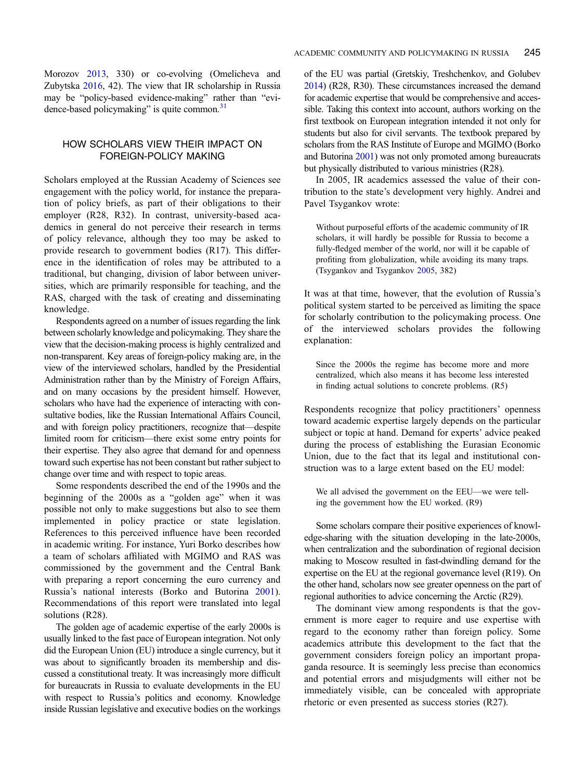<span id="page-7-0"></span>Morozov [2013,](#page-13-0) 330) or co-evolving (Omelicheva and Zubytska [2016](#page-13-0), 42). The view that IR scholarship in Russia may be "policy-based evidence-making" rather than "evidence-based policymaking" is quite common.<sup>31</sup>

#### HOW SCHOLARS VIEW THEIR IMPACT ON FOREIGN-POLICY MAKING

Scholars employed at the Russian Academy of Sciences see engagement with the policy world, for instance the preparation of policy briefs, as part of their obligations to their employer (R28, R32). In contrast, university-based academics in general do not perceive their research in terms of policy relevance, although they too may be asked to provide research to government bodies (R17). This difference in the identification of roles may be attributed to a traditional, but changing, division of labor between universities, which are primarily responsible for teaching, and the RAS, charged with the task of creating and disseminating knowledge.

Respondents agreed on a number of issues regarding the link between scholarly knowledge and policymaking. They share the view that the decision-making process is highly centralized and non-transparent. Key areas of foreign-policy making are, in the view of the interviewed scholars, handled by the Presidential Administration rather than by the Ministry of Foreign Affairs, and on many occasions by the president himself. However, scholars who have had the experience of interacting with consultative bodies, like the Russian International Affairs Council, and with foreign policy practitioners, recognize that—despite limited room for criticism—there exist some entry points for their expertise. They also agree that demand for and openness toward such expertise has not been constant but rather subject to change over time and with respect to topic areas.

Some respondents described the end of the 1990s and the beginning of the 2000s as a "golden age" when it was possible not only to make suggestions but also to see them implemented in policy practice or state legislation. References to this perceived influence have been recorded in academic writing. For instance, Yuri Borko describes how a team of scholars affiliated with MGIMO and RAS was commissioned by the government and the Central Bank with preparing a report concerning the euro currency and Russia's national interests (Borko and Butorina [2001](#page-12-0)). Recommendations of this report were translated into legal solutions (R28).

The golden age of academic expertise of the early 2000s is usually linked to the fast pace of European integration. Not only did the European Union (EU) introduce a single currency, but it was about to significantly broaden its membership and discussed a constitutional treaty. It was increasingly more difficult for bureaucrats in Russia to evaluate developments in the EU with respect to Russia's politics and economy. Knowledge inside Russian legislative and executive bodies on the workings

of the EU was partial (Gretskiy, Treshchenkov, and Golubev [2014](#page-13-0)) (R28, R30). These circumstances increased the demand for academic expertise that would be comprehensive and accessible. Taking this context into account, authors working on the first textbook on European integration intended it not only for students but also for civil servants. The textbook prepared by scholars from the RAS Institute of Europe and MGIMO (Borko and Butorina [2001](#page-12-0)) was not only promoted among bureaucrats but physically distributed to various ministries (R28).

In 2005, IR academics assessed the value of their contribution to the state's development very highly. Andrei and Pavel Tsygankov wrote:

Without purposeful efforts of the academic community of IR scholars, it will hardly be possible for Russia to become a fully-fledged member of the world, nor will it be capable of profiting from globalization, while avoiding its many traps. (Tsygankov and Tsygankov [2005,](#page-14-0) 382)

It was at that time, however, that the evolution of Russia's political system started to be perceived as limiting the space for scholarly contribution to the policymaking process. One of the interviewed scholars provides the following explanation:

Since the 2000s the regime has become more and more centralized, which also means it has become less interested in finding actual solutions to concrete problems. (R5)

Respondents recognize that policy practitioners' openness toward academic expertise largely depends on the particular subject or topic at hand. Demand for experts' advice peaked during the process of establishing the Eurasian Economic Union, due to the fact that its legal and institutional construction was to a large extent based on the EU model:

We all advised the government on the EEU—we were telling the government how the EU worked. (R9)

Some scholars compare their positive experiences of knowledge-sharing with the situation developing in the late-2000s, when centralization and the subordination of regional decision making to Moscow resulted in fast-dwindling demand for the expertise on the EU at the regional governance level (R19). On the other hand, scholars now see greater openness on the part of regional authorities to advice concerning the Arctic (R29).

The dominant view among respondents is that the government is more eager to require and use expertise with regard to the economy rather than foreign policy. Some academics attribute this development to the fact that the government considers foreign policy an important propaganda resource. It is seemingly less precise than economics and potential errors and misjudgments will either not be immediately visible, can be concealed with appropriate rhetoric or even presented as success stories (R27).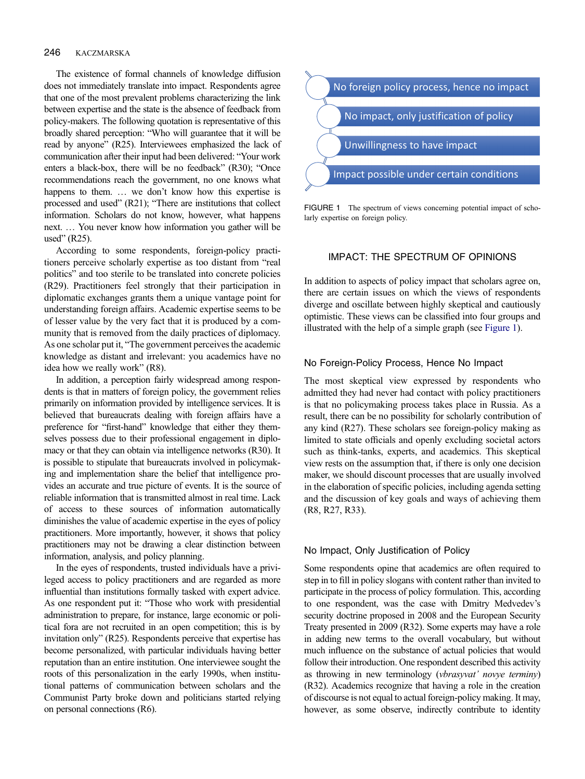#### 246 KACZMARSKA

The existence of formal channels of knowledge diffusion does not immediately translate into impact. Respondents agree that one of the most prevalent problems characterizing the link between expertise and the state is the absence of feedback from policy-makers. The following quotation is representative of this broadly shared perception: "Who will guarantee that it will be read by anyone" (R25). Interviewees emphasized the lack of communication after their input had been delivered: "Your work enters a black-box, there will be no feedback" (R30); "Once recommendations reach the government, no one knows what happens to them. ... we don't know how this expertise is processed and used" (R21); "There are institutions that collect information. Scholars do not know, however, what happens next. … You never know how information you gather will be used" (R25).

According to some respondents, foreign-policy practitioners perceive scholarly expertise as too distant from "real politics" and too sterile to be translated into concrete policies (R29). Practitioners feel strongly that their participation in diplomatic exchanges grants them a unique vantage point for understanding foreign affairs. Academic expertise seems to be of lesser value by the very fact that it is produced by a community that is removed from the daily practices of diplomacy. As one scholar put it, "The government perceives the academic knowledge as distant and irrelevant: you academics have no idea how we really work" (R8).

In addition, a perception fairly widespread among respondents is that in matters of foreign policy, the government relies primarily on information provided by intelligence services. It is believed that bureaucrats dealing with foreign affairs have a preference for "first-hand" knowledge that either they themselves possess due to their professional engagement in diplomacy or that they can obtain via intelligence networks (R30). It is possible to stipulate that bureaucrats involved in policymaking and implementation share the belief that intelligence provides an accurate and true picture of events. It is the source of reliable information that is transmitted almost in real time. Lack of access to these sources of information automatically diminishes the value of academic expertise in the eyes of policy practitioners. More importantly, however, it shows that policy practitioners may not be drawing a clear distinction between information, analysis, and policy planning.

In the eyes of respondents, trusted individuals have a privileged access to policy practitioners and are regarded as more influential than institutions formally tasked with expert advice. As one respondent put it: "Those who work with presidential administration to prepare, for instance, large economic or political fora are not recruited in an open competition; this is by invitation only" (R25). Respondents perceive that expertise has become personalized, with particular individuals having better reputation than an entire institution. One interviewee sought the roots of this personalization in the early 1990s, when institutional patterns of communication between scholars and the Communist Party broke down and politicians started relying on personal connections (R6).



FIGURE 1 The spectrum of views concerning potential impact of scholarly expertise on foreign policy.

#### IMPACT: THE SPECTRUM OF OPINIONS

In addition to aspects of policy impact that scholars agree on, there are certain issues on which the views of respondents diverge and oscillate between highly skeptical and cautiously optimistic. These views can be classified into four groups and illustrated with the help of a simple graph (see Figure 1).

#### No Foreign-Policy Process, Hence No Impact

The most skeptical view expressed by respondents who admitted they had never had contact with policy practitioners is that no policymaking process takes place in Russia. As a result, there can be no possibility for scholarly contribution of any kind (R27). These scholars see foreign-policy making as limited to state officials and openly excluding societal actors such as think-tanks, experts, and academics. This skeptical view rests on the assumption that, if there is only one decision maker, we should discount processes that are usually involved in the elaboration of specific policies, including agenda setting and the discussion of key goals and ways of achieving them (R8, R27, R33).

#### No Impact, Only Justification of Policy

Some respondents opine that academics are often required to step in to fill in policy slogans with content rather than invited to participate in the process of policy formulation. This, according to one respondent, was the case with Dmitry Medvedev's security doctrine proposed in 2008 and the European Security Treaty presented in 2009 (R32). Some experts may have a role in adding new terms to the overall vocabulary, but without much influence on the substance of actual policies that would follow their introduction. One respondent described this activity as throwing in new terminology (vbrasyvat' novye terminy) (R32). Academics recognize that having a role in the creation of discourse is not equal to actual foreign-policy making. It may, however, as some observe, indirectly contribute to identity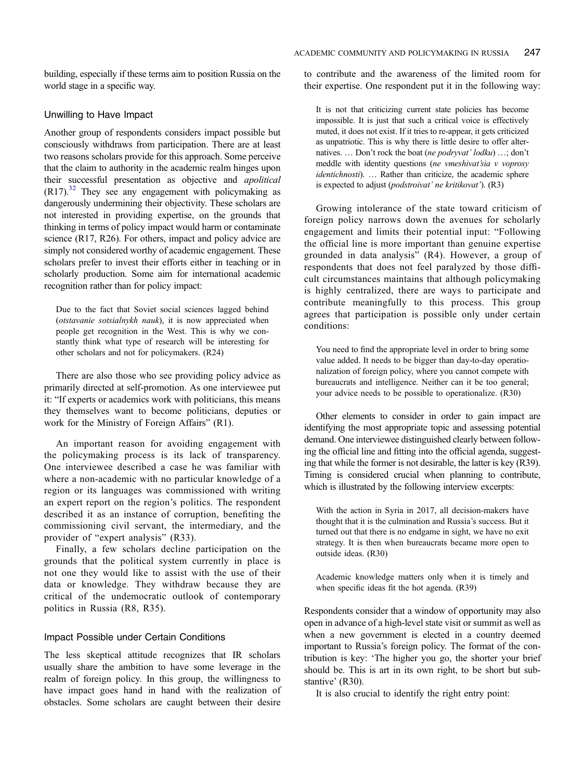building, especially if these terms aim to position Russia on the world stage in a specific way.

#### Unwilling to Have Impact

Another group of respondents considers impact possible but consciously withdraws from participation. There are at least two reasons scholars provide for this approach. Some perceive that the claim to authority in the academic realm hinges upon their successful presentation as objective and apolitical  $(R17)$ <sup>[32](#page-12-0)</sup> They see any engagement with policymaking as dangerously undermining their objectivity. These scholars are not interested in providing expertise, on the grounds that thinking in terms of policy impact would harm or contaminate science (R17, R26). For others, impact and policy advice are simply not considered worthy of academic engagement. These scholars prefer to invest their efforts either in teaching or in scholarly production. Some aim for international academic recognition rather than for policy impact:

Due to the fact that Soviet social sciences lagged behind (otstavanie sotsialnykh nauk), it is now appreciated when people get recognition in the West. This is why we constantly think what type of research will be interesting for other scholars and not for policymakers. (R24)

There are also those who see providing policy advice as primarily directed at self-promotion. As one interviewee put it: "If experts or academics work with politicians, this means they themselves want to become politicians, deputies or work for the Ministry of Foreign Affairs" (R1).

An important reason for avoiding engagement with the policymaking process is its lack of transparency. One interviewee described a case he was familiar with where a non-academic with no particular knowledge of a region or its languages was commissioned with writing an expert report on the region's politics. The respondent described it as an instance of corruption, benefiting the commissioning civil servant, the intermediary, and the provider of "expert analysis" (R33).

Finally, a few scholars decline participation on the grounds that the political system currently in place is not one they would like to assist with the use of their data or knowledge. They withdraw because they are critical of the undemocratic outlook of contemporary politics in Russia (R8, R35).

#### Impact Possible under Certain Conditions

The less skeptical attitude recognizes that IR scholars usually share the ambition to have some leverage in the realm of foreign policy. In this group, the willingness to have impact goes hand in hand with the realization of obstacles. Some scholars are caught between their desire

to contribute and the awareness of the limited room for their expertise. One respondent put it in the following way:

It is not that criticizing current state policies has become impossible. It is just that such a critical voice is effectively muted, it does not exist. If it tries to re-appear, it gets criticized as unpatriotic. This is why there is little desire to offer alternatives. ... Don't rock the boat (ne podryvat' lodku) ...; don't meddle with identity questions (ne vmeshivat'sia v voprosy identichnosti). ... Rather than criticize, the academic sphere is expected to adjust (*podstroivat' ne kritikovat'*). (R3)

Growing intolerance of the state toward criticism of foreign policy narrows down the avenues for scholarly engagement and limits their potential input: "Following the official line is more important than genuine expertise grounded in data analysis" (R4). However, a group of respondents that does not feel paralyzed by those difficult circumstances maintains that although policymaking is highly centralized, there are ways to participate and contribute meaningfully to this process. This group agrees that participation is possible only under certain conditions:

You need to find the appropriate level in order to bring some value added. It needs to be bigger than day-to-day operationalization of foreign policy, where you cannot compete with bureaucrats and intelligence. Neither can it be too general; your advice needs to be possible to operationalize. (R30)

Other elements to consider in order to gain impact are identifying the most appropriate topic and assessing potential demand. One interviewee distinguished clearly between following the official line and fitting into the official agenda, suggesting that while the former is not desirable, the latter is key (R39). Timing is considered crucial when planning to contribute, which is illustrated by the following interview excerpts:

With the action in Syria in 2017, all decision-makers have thought that it is the culmination and Russia's success. But it turned out that there is no endgame in sight, we have no exit strategy. It is then when bureaucrats became more open to outside ideas. (R30)

Academic knowledge matters only when it is timely and when specific ideas fit the hot agenda. (R39)

Respondents consider that a window of opportunity may also open in advance of a high-level state visit or summit as well as when a new government is elected in a country deemed important to Russia's foreign policy. The format of the contribution is key: 'The higher you go, the shorter your brief should be. This is art in its own right, to be short but substantive' (R30).

It is also crucial to identify the right entry point: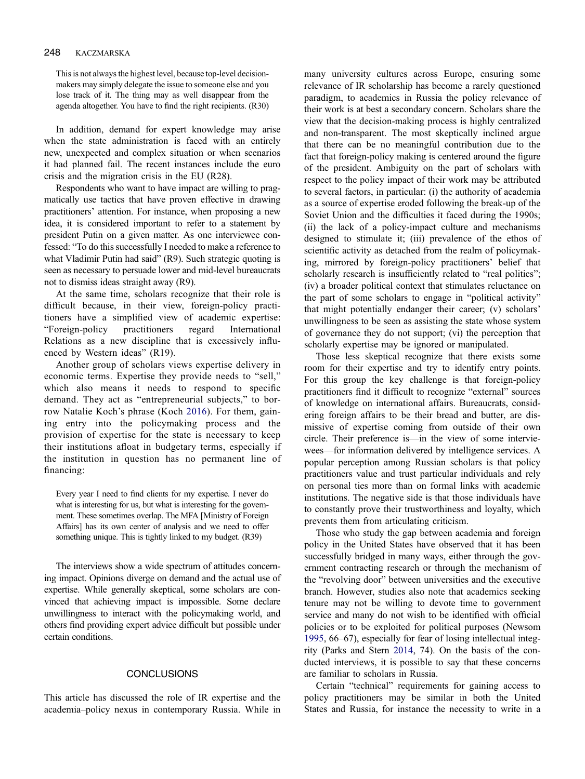<span id="page-10-0"></span>This is not always the highest level, because top-level decisionmakers may simply delegate the issue to someone else and you lose track of it. The thing may as well disappear from the agenda altogether. You have to find the right recipients. (R30)

In addition, demand for expert knowledge may arise when the state administration is faced with an entirely new, unexpected and complex situation or when scenarios it had planned fail. The recent instances include the euro crisis and the migration crisis in the EU (R28).

Respondents who want to have impact are willing to pragmatically use tactics that have proven effective in drawing practitioners' attention. For instance, when proposing a new idea, it is considered important to refer to a statement by president Putin on a given matter. As one interviewee confessed: "To do this successfully I needed to make a reference to what Vladimir Putin had said" (R9). Such strategic quoting is seen as necessary to persuade lower and mid-level bureaucrats not to dismiss ideas straight away (R9).

At the same time, scholars recognize that their role is difficult because, in their view, foreign-policy practitioners have a simplified view of academic expertise: "Foreign-policy practitioners regard International Relations as a new discipline that is excessively influenced by Western ideas" (R19).

Another group of scholars views expertise delivery in economic terms. Expertise they provide needs to "sell," which also means it needs to respond to specific demand. They act as "entrepreneurial subjects," to borrow Natalie Koch's phrase (Koch [2016](#page-13-0)). For them, gaining entry into the policymaking process and the provision of expertise for the state is necessary to keep their institutions afloat in budgetary terms, especially if the institution in question has no permanent line of financing:

Every year I need to find clients for my expertise. I never do what is interesting for us, but what is interesting for the government. These sometimes overlap. The MFA [Ministry of Foreign Affairs] has its own center of analysis and we need to offer something unique. This is tightly linked to my budget. (R39)

The interviews show a wide spectrum of attitudes concerning impact. Opinions diverge on demand and the actual use of expertise. While generally skeptical, some scholars are convinced that achieving impact is impossible. Some declare unwillingness to interact with the policymaking world, and others find providing expert advice difficult but possible under certain conditions.

#### **CONCLUSIONS**

This article has discussed the role of IR expertise and the academia–policy nexus in contemporary Russia. While in many university cultures across Europe, ensuring some relevance of IR scholarship has become a rarely questioned paradigm, to academics in Russia the policy relevance of their work is at best a secondary concern. Scholars share the view that the decision-making process is highly centralized and non-transparent. The most skeptically inclined argue that there can be no meaningful contribution due to the fact that foreign-policy making is centered around the figure of the president. Ambiguity on the part of scholars with respect to the policy impact of their work may be attributed to several factors, in particular: (i) the authority of academia as a source of expertise eroded following the break-up of the Soviet Union and the difficulties it faced during the 1990s; (ii) the lack of a policy-impact culture and mechanisms designed to stimulate it; (iii) prevalence of the ethos of scientific activity as detached from the realm of policymaking, mirrored by foreign-policy practitioners' belief that scholarly research is insufficiently related to "real politics"; (iv) a broader political context that stimulates reluctance on the part of some scholars to engage in "political activity" that might potentially endanger their career; (v) scholars' unwillingness to be seen as assisting the state whose system of governance they do not support; (vi) the perception that scholarly expertise may be ignored or manipulated.

Those less skeptical recognize that there exists some room for their expertise and try to identify entry points. For this group the key challenge is that foreign-policy practitioners find it difficult to recognize "external" sources of knowledge on international affairs. Bureaucrats, considering foreign affairs to be their bread and butter, are dismissive of expertise coming from outside of their own circle. Their preference is—in the view of some interviewees—for information delivered by intelligence services. A popular perception among Russian scholars is that policy practitioners value and trust particular individuals and rely on personal ties more than on formal links with academic institutions. The negative side is that those individuals have to constantly prove their trustworthiness and loyalty, which prevents them from articulating criticism.

Those who study the gap between academia and foreign policy in the United States have observed that it has been successfully bridged in many ways, either through the government contracting research or through the mechanism of the "revolving door" between universities and the executive branch. However, studies also note that academics seeking tenure may not be willing to devote time to government service and many do not wish to be identified with official policies or to be exploited for political purposes (Newsom [1995,](#page-13-0) 66–67), especially for fear of losing intellectual integrity (Parks and Stern [2014,](#page-13-0) 74). On the basis of the conducted interviews, it is possible to say that these concerns are familiar to scholars in Russia.

Certain "technical" requirements for gaining access to policy practitioners may be similar in both the United States and Russia, for instance the necessity to write in a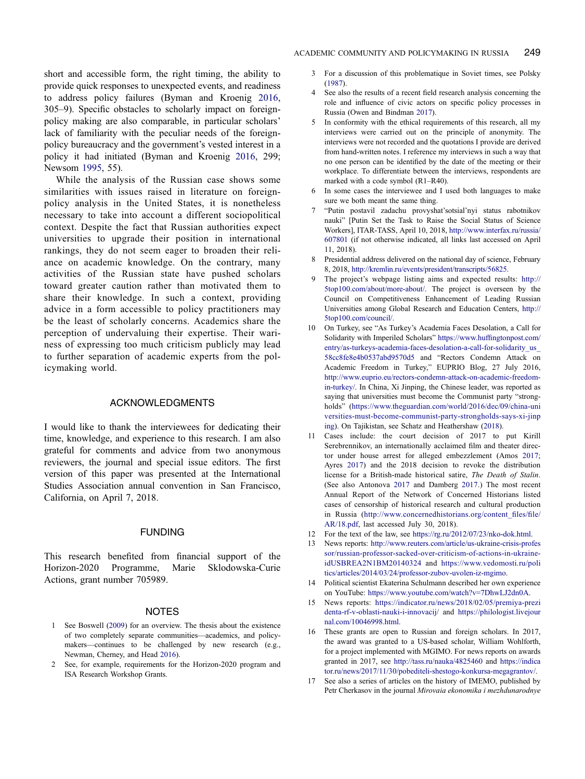<span id="page-11-0"></span>short and accessible form, the right timing, the ability to provide quick responses to unexpected events, and readiness to address policy failures (Byman and Kroenig [2016](#page-12-0), 305–9). Specific obstacles to scholarly impact on foreignpolicy making are also comparable, in particular scholars' lack of familiarity with the peculiar needs of the foreignpolicy bureaucracy and the government's vested interest in a policy it had initiated (Byman and Kroenig [2016](#page-12-0), 299; Newsom [1995](#page-13-0), 55).

While the analysis of the Russian case shows some similarities with issues raised in literature on foreignpolicy analysis in the United States, it is nonetheless necessary to take into account a different sociopolitical context. Despite the fact that Russian authorities expect universities to upgrade their position in international rankings, they do not seem eager to broaden their reliance on academic knowledge. On the contrary, many activities of the Russian state have pushed scholars toward greater caution rather than motivated them to share their knowledge. In such a context, providing advice in a form accessible to policy practitioners may be the least of scholarly concerns. Academics share the perception of undervaluing their expertise. Their wariness of expressing too much criticism publicly may lead to further separation of academic experts from the policymaking world.

#### ACKNOWLEDGMENTS

I would like to thank the interviewees for dedicating their time, knowledge, and experience to this research. I am also grateful for comments and advice from two anonymous reviewers, the journal and special issue editors. The first version of this paper was presented at the International Studies Association annual convention in San Francisco, California, on April 7, 2018.

#### FUNDING

This research benefited from financial support of the Horizon-2020 Programme, Marie Sklodowska-Curie Actions, grant number 705989.

#### NOTES

- 1 See Boswell ([2009\)](#page-12-0) for an overview. The thesis about the existence of two completely separate communities—academics, and policymakers—continues to be challenged by new research (e.g., Newman, Cherney, and Head [2016\)](#page-13-0).
- See, for example, requirements for the Horizon-2020 program and ISA Research Workshop Grants.
- 3 For a discussion of this problematique in Soviet times, see Polsky [\(1987\)](#page-14-0).
- 4 See also the results of a recent field research analysis concerning the role and influence of civic actors on specific policy processes in Russia (Owen and Bindman [2017\)](#page-13-0).
- In conformity with the ethical requirements of this research, all my interviews were carried out on the principle of anonymity. The interviews were not recorded and the quotations I provide are derived from hand-written notes. I reference my interviews in such a way that no one person can be identified by the date of the meeting or their workplace. To differentiate between the interviews, respondents are marked with a code symbol (R1–R40).
- 6 In some cases the interviewee and I used both languages to make sure we both meant the same thing.
- 7 "Putin postavil zadachu provyshat'sotsial'nyi status rabotnikov nauki" [Putin Set the Task to Raise the Social Status of Science Workers], ITAR-TASS, April 10, 2018, [http://www.interfax.ru/russia/](http://www.interfax.ru/russia/607801) [607801](http://www.interfax.ru/russia/607801) (if not otherwise indicated, all links last accessed on April 11, 2018).
- 8 Presidential address delivered on the national day of science, February 8, 2018, [http://kremlin.ru/events/president/transcripts/56825.](http://kremlin.ru/events/president/transcripts/56825)
- 9 The project's webpage listing aims and expected results: [http://](http://5top100.com/about/more-about/) [5top100.com/about/more-about/](http://5top100.com/about/more-about/). The project is overseen by the Council on Competitiveness Enhancement of Leading Russian Universities among Global Research and Education Centers, [http://](http://5top100.com/council/) [5top100.com/council/](http://5top100.com/council/).
- 10 On Turkey, see "As Turkey's Academia Faces Desolation, a Call for Solidarity with Imperiled Scholars" [https://www.huf](https://www.huffingtonpost.com/entry/as-turkeys-academia-faces-desolation-a-call-for-solidarity_us_58cc8fe8e4b0537abd9570d5)fingtonpost.com/ [entry/as-turkeys-academia-faces-desolation-a-call-for-solidarity\\_us\\_](https://www.huffingtonpost.com/entry/as-turkeys-academia-faces-desolation-a-call-for-solidarity_us_58cc8fe8e4b0537abd9570d5) [58cc8fe8e4b0537abd9570d5](https://www.huffingtonpost.com/entry/as-turkeys-academia-faces-desolation-a-call-for-solidarity_us_58cc8fe8e4b0537abd9570d5) and "Rectors Condemn Attack on Academic Freedom in Turkey," EUPRIO Blog, 27 July 2016, [http://www.euprio.eu/rectors-condemn-attack-on-academic-freedom](http://www.euprio.eu/rectors-condemn-attack-on-academic-freedom-in-turkey/)[in-turkey/](http://www.euprio.eu/rectors-condemn-attack-on-academic-freedom-in-turkey/). In China, Xi Jinping, the Chinese leader, was reported as saying that universities must become the Communist party "strongholds" [\(https://www.theguardian.com/world/2016/dec/09/china-uni](https://www.theguardian.com/world/2016/dec/09/china-universities-must-become-communist-party-strongholds-says-xi-jinping) [versities-must-become-communist-party-strongholds-says-xi-jinp](https://www.theguardian.com/world/2016/dec/09/china-universities-must-become-communist-party-strongholds-says-xi-jinping) [ing\)](https://www.theguardian.com/world/2016/dec/09/china-universities-must-become-communist-party-strongholds-says-xi-jinping). On Tajikistan, see Schatz and Heathershaw [\(2018](#page-14-0)).
- 11 Cases include: the court decision of 2017 to put Kirill Serebrennikov, an internationally acclaimed film and theater director under house arrest for alleged embezzlement (Amos [2017;](#page-12-0) Ayres [2017\)](#page-12-0) and the 2018 decision to revoke the distribution license for a British-made historical satire, The Death of Stalin. (See also Antonova [2017](#page-12-0) and Damberg [2017](#page-12-0).) The most recent Annual Report of the Network of Concerned Historians listed cases of censorship of historical research and cultural production in Russia ([http://www.concernedhistorians.org/content\\_](http://www.concernedhistorians.org/content_files/file/AR/18.pdf)files/file/ [AR/18.pdf,](http://www.concernedhistorians.org/content_files/file/AR/18.pdf) last accessed July 30, 2018).
- 12 For the text of the law, see <https://rg.ru/2012/07/23/nko-dok.html>.
- 13 News reports: [http://www.reuters.com/article/us-ukraine-crisis-profes](http://www.reuters.com/article/us-ukraine-crisis-professor/russian-professor-sacked-over-criticism-of-actions-in-ukraine-idUSBREA2N1BM20140324) [sor/russian-professor-sacked-over-criticism-of-actions-in-ukraine](http://www.reuters.com/article/us-ukraine-crisis-professor/russian-professor-sacked-over-criticism-of-actions-in-ukraine-idUSBREA2N1BM20140324)[idUSBREA2N1BM20140324](http://www.reuters.com/article/us-ukraine-crisis-professor/russian-professor-sacked-over-criticism-of-actions-in-ukraine-idUSBREA2N1BM20140324) and [https://www.vedomosti.ru/poli](https://www.vedomosti.ru/politics/articles/2014/03/24/professor-zubov-uvolen-iz-mgimo) [tics/articles/2014/03/24/professor-zubov-uvolen-iz-mgimo.](https://www.vedomosti.ru/politics/articles/2014/03/24/professor-zubov-uvolen-iz-mgimo)
- 14 Political scientist Ekaterina Schulmann described her own experience on YouTube: [https://www.youtube.com/watch?v=7DhwLJ2dn0A.](https://www.youtube.com/watch?v=7DhwLJ2dn0A)
- 15 News reports: [https://indicator.ru/news/2018/02/05/premiya-prezi](https://indicator.ru/news/2018/02/05/premiya-prezidenta-rf-v-oblasti-nauki-i-innovacij/) [denta-rf-v-oblasti-nauki-i-innovacij/](https://indicator.ru/news/2018/02/05/premiya-prezidenta-rf-v-oblasti-nauki-i-innovacij/) and [https://philologist.livejour](https://philologist.livejournal.com/10046998.html) [nal.com/10046998.html.](https://philologist.livejournal.com/10046998.html)
- 16 These grants are open to Russian and foreign scholars. In 2017, the award was granted to a US-based scholar, William Wohlforth, for a project implemented with MGIMO. For news reports on awards granted in 2017, see <http://tass.ru/nauka/4825460> and [https://indica](https://indicator.ru/news/2017/11/30/pobediteli-shestogo-konkursa-megagrantov/) [tor.ru/news/2017/11/30/pobediteli-shestogo-konkursa-megagrantov/.](https://indicator.ru/news/2017/11/30/pobediteli-shestogo-konkursa-megagrantov/)
- 17 See also a series of articles on the history of IMEMO, published by Petr Cherkasov in the journal Mirovaia ekonomika i mezhdunarodnye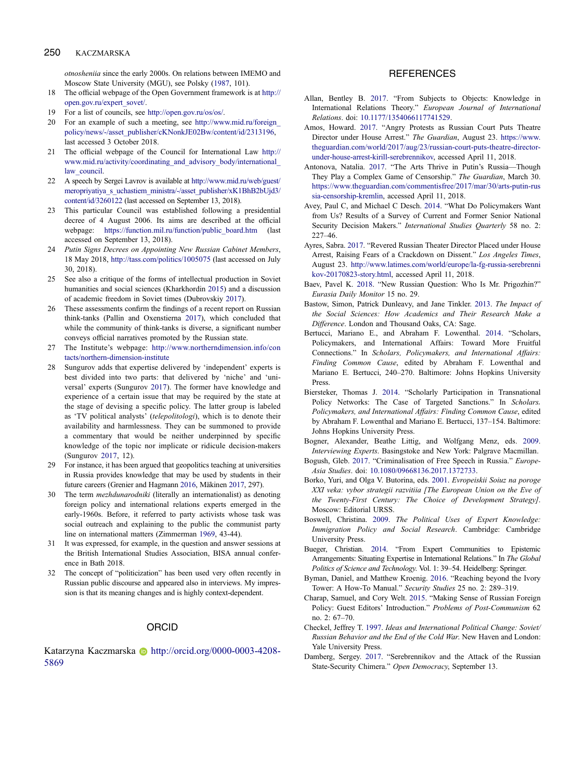<span id="page-12-0"></span>otnosheniia since the early 2000s. On relations between IMEMO and Moscow State University (MGU), see Polsky ([1987,](#page-14-0) 101).

- 18 The official webpage of the Open Government framework is at [http://](http://open.gov.ru/expert_sovet/) [open.gov.ru/expert\\_sovet/](http://open.gov.ru/expert_sovet/).
- 19 For a list of councils, see [http://open.gov.ru/os/os/.](http://open.gov.ru/os/os/)
- 20 For an example of such a meeting, see [http://www.mid.ru/foreign\\_](http://www.mid.ru/foreign_policy/news/-/asset_publisher/cKNonkJE02Bw/content/id/2313196) [policy/news/-/asset\\_publisher/cKNonkJE02Bw/content/id/2313196](http://www.mid.ru/foreign_policy/news/-/asset_publisher/cKNonkJE02Bw/content/id/2313196), last accessed 3 October 2018.
- 21 The official webpage of the Council for International Law [http://](http://www.mid.ru/activity/coordinating_and_advisory_body/international_law_council) [www.mid.ru/activity/coordinating\\_and\\_advisory\\_body/international\\_](http://www.mid.ru/activity/coordinating_and_advisory_body/international_law_council) [law\\_council.](http://www.mid.ru/activity/coordinating_and_advisory_body/international_law_council)
- 22 A speech by Sergei Lavrov is available at [http://www.mid.ru/web/guest/](http://www.mid.ru/web/guest/meropriyatiya_s_uchastiem_ministra/-/asset_publisher/xK1BhB2bUjd3/content/id/3260122) meropriyatiya s\_uchastiem\_ministra/-/asset\_publisher/xK1BhB2bUjd3/ [content/id/3260122](http://www.mid.ru/web/guest/meropriyatiya_s_uchastiem_ministra/-/asset_publisher/xK1BhB2bUjd3/content/id/3260122) (last accessed on September 13, 2018).
- 23 This particular Council was established following a presidential decree of 4 August 2006. Its aims are described at the official webpage: [https://function.mil.ru/function/public\\_board.htm](https://function.mil.ru/function/public_board.htm) (last accessed on September 13, 2018).
- 24 Putin Signs Decrees on Appointing New Russian Cabinet Members, 18 May 2018, <http://tass.com/politics/1005075> (last accessed on July 30, 2018).
- 25 See also a critique of the forms of intellectual production in Soviet humanities and social sciences (Kharkhordin [2015](#page-13-0)) and a discussion of academic freedom in Soviet times (Dubrovskiy [2017](#page-13-0)).
- 26 These assessments confirm the findings of a recent report on Russian think-tanks (Pallin and Oxenstierna [2017](#page-13-0)), which concluded that while the community of think-tanks is diverse, a significant number conveys official narratives promoted by the Russian state.
- 27 The Institute's webpage: [http://www.northerndimension.info/con](http://www.northerndimension.info/contacts/northern-dimension-institute) [tacts/northern-dimension-institute](http://www.northerndimension.info/contacts/northern-dimension-institute)
- 28 Sungurov adds that expertise delivered by 'independent' experts is best divided into two parts: that delivered by 'niche' and 'universal' experts (Sungurov [2017](#page-14-0)). The former have knowledge and experience of a certain issue that may be required by the state at the stage of devising a specific policy. The latter group is labeled as 'TV political analysts' (telepolitologi), which is to denote their availability and harmlessness. They can be summoned to provide a commentary that would be neither underpinned by specific knowledge of the topic nor implicate or ridicule decision-makers (Sungurov [2017,](#page-14-0) 12).
- 29 For instance, it has been argued that geopolitics teaching at universities in Russia provides knowledge that may be used by students in their future careers (Grenier and Hagmann [2016,](#page-13-0) Mäkinen [2017](#page-13-0), 297).
- 30 The term mezhdunarodniki (literally an internationalist) as denoting foreign policy and international relations experts emerged in the early-1960s. Before, it referred to party activists whose task was social outreach and explaining to the public the communist party line on international matters (Zimmerman [1969](#page-14-0), 43-44).
- 31 It was expressed, for example, in the question and answer sessions at the British International Studies Association, BISA annual conference in Bath 2018.
- 32 The concept of "politicization" has been used very often recently in Russian public discourse and appeared also in interviews. My impression is that its meaning changes and is highly context-dependent.

#### ORCID

Katarzyna Kaczmarska **http://orcid.org/0000-0003-4208-**5869

#### REFERENCES

- Allan, Bentley B. [2017](#page-2-0). "From Subjects to Objects: Knowledge in International Relations Theory." European Journal of International Relations. doi: [10.1177/1354066117741529](http://dx.doi.org/10.1177/1354066117741529).
- Amos, Howard. [2017.](#page-11-0) "Angry Protests as Russian Court Puts Theatre Director under House Arrest." The Guardian, August 23. [https://www.](https://www.theguardian.com/world/2017/aug/23/russian-court-puts-theatre-director-under-house-arrest-kirill-serebrennikov) [theguardian.com/world/2017/aug/23/russian-court-puts-theatre-director](https://www.theguardian.com/world/2017/aug/23/russian-court-puts-theatre-director-under-house-arrest-kirill-serebrennikov)[under-house-arrest-kirill-serebrennikov,](https://www.theguardian.com/world/2017/aug/23/russian-court-puts-theatre-director-under-house-arrest-kirill-serebrennikov) accessed April 11, 2018.
- Antonova, Natalia. [2017.](#page-11-0) "The Arts Thrive in Putin's Russia—Though They Play a Complex Game of Censorship." The Guardian, March 30. [https://www.theguardian.com/commentisfree/2017/mar/30/arts-putin-rus](https://www.theguardian.com/commentisfree/2017/mar/30/arts-putin-russia-censorship-kremlin) [sia-censorship-kremlin,](https://www.theguardian.com/commentisfree/2017/mar/30/arts-putin-russia-censorship-kremlin) accessed April 11, 2018.
- Avey, Paul C, and Michael C Desch. [2014.](#page-2-0) "What Do Policymakers Want from Us? Results of a Survey of Current and Former Senior National Security Decision Makers." International Studies Quarterly 58 no. 2: 227–46.
- Ayres, Sabra. [2017.](#page-11-0) "Revered Russian Theater Director Placed under House Arrest, Raising Fears of a Crackdown on Dissent." Los Angeles Times, August 23. [http://www.latimes.com/world/europe/la-fg-russia-serebrenni](http://www.latimes.com/world/europe/la-fg-russia-serebrennikov-20170823-story.html) [kov-20170823-story.html](http://www.latimes.com/world/europe/la-fg-russia-serebrennikov-20170823-story.html), accessed April 11, 2018.
- Baev, Pavel K. [2018](#page-3-0). "New Russian Question: Who Is Mr. Prigozhin?" Eurasia Daily Monitor 15 no. 29.
- Bastow, Simon, Patrick Dunleavy, and Jane Tinkler. [2013.](#page-2-0) The Impact of the Social Sciences: How Academics and Their Research Make a Difference. London and Thousand Oaks, CA: Sage.
- Bertucci, Mariano E., and Abraham F. Lowenthal. [2014](#page-2-0). "Scholars, Policymakers, and International Affairs: Toward More Fruitful Connections." In Scholars, Policymakers, and International Affairs: Finding Common Cause, edited by Abraham F. Lowenthal and Mariano E. Bertucci, 240–270. Baltimore: Johns Hopkins University Press.
- Biersteker, Thomas J. [2014](#page-2-0). "Scholarly Participation in Transnational Policy Networks: The Case of Targeted Sanctions." In Scholars, Policymakers, and International Affairs: Finding Common Cause, edited by Abraham F. Lowenthal and Mariano E. Bertucci, 137–154. Baltimore: Johns Hopkins University Press.
- Bogner, Alexander, Beathe Littig, and Wolfgang Menz, eds. [2009.](#page-3-0) Interviewing Experts. Basingstoke and New York: Palgrave Macmillan.
- Bogush, Gleb. [2017.](#page-4-0) "Criminalisation of Free Speech in Russia." Europe-Asia Studies. doi: [10.1080/09668136.2017.1372733](http://dx.doi.org/10.1080/09668136.2017.1372733).
- Borko, Yuri, and Olga V. Butorina, eds. [2001.](#page-7-0) Evropeiskii Soiuz na poroge XXI veka: vybor strategii razvitiia [The European Union on the Eve of the Twenty-First Century: The Choice of Development Strategy]. Moscow: Editorial URSS.
- Boswell, Christina. [2009](#page-11-0). The Political Uses of Expert Knowledge: Immigration Policy and Social Research. Cambridge: Cambridge University Press.
- Bueger, Christian. [2014](#page-2-0). "From Expert Communities to Epistemic Arrangements: Situating Expertise in International Relations." In The Global Politics of Science and Technology. Vol. 1: 39–54. Heidelberg: Springer.
- Byman, Daniel, and Matthew Kroenig. [2016](#page-2-0). "Reaching beyond the Ivory Tower: A How-To Manual." Security Studies 25 no. 2: 289–319.
- Charap, Samuel, and Cory Welt. [2015.](#page-2-0) "Making Sense of Russian Foreign Policy: Guest Editors' Introduction." Problems of Post-Communism 62 no. 2: 67–70.
- Checkel, Jeffrey T. [1997](#page-5-0). Ideas and International Political Change: Soviet/ Russian Behavior and the End of the Cold War. New Haven and London: Yale University Press.
- Damberg, Sergey. [2017](#page-11-0). "Serebrennikov and the Attack of the Russian State-Security Chimera." Open Democracy, September 13.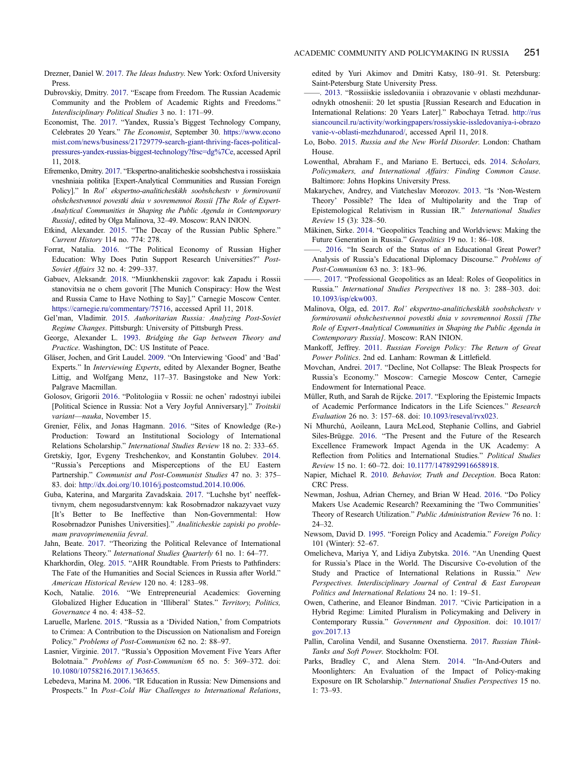<span id="page-13-0"></span>Drezner, Daniel W. [2017.](#page-2-0) The Ideas Industry. New York: Oxford University Press.

- Dubrovskiy, Dmitry. [2017.](#page-5-0) "Escape from Freedom. The Russian Academic Community and the Problem of Academic Rights and Freedoms." Interdisciplinary Political Studies 3 no. 1: 171–99.
- Economist, The. [2017](#page-4-0). "Yandex, Russia's Biggest Technology Company, Celebrates 20 Years." The Economist, September 30. [https://www.econo](https://www.economist.com/news/business/21729779-search-giant-thriving-faces-political-pressures-yandex-russias-biggest-technology?frsc=dg%7Ce) [mist.com/news/business/21729779-search-giant-thriving-faces-political](https://www.economist.com/news/business/21729779-search-giant-thriving-faces-political-pressures-yandex-russias-biggest-technology?frsc=dg%7Ce)[pressures-yandex-russias-biggest-technology?frsc=dg%7Ce,](https://www.economist.com/news/business/21729779-search-giant-thriving-faces-political-pressures-yandex-russias-biggest-technology?frsc=dg%7Ce) accessed April 11, 2018.
- Efremenko, Dmitry. [2017.](#page-3-0) "Ekspertno-analiticheskie soobshchestva i rossiiskaia vneshniaia politika [Expert-Analytical Communities and Russian Foreign Policy]." In Rol' ekspertno-analiticheskikh soobshchestv v formirovanii obshchestvennoi povestki dnia v sovremennoi Rossii [The Role of Expert-Analytical Communities in Shaping the Public Agenda in Contemporary Russia], edited by Olga Malinova, 32–49. Moscow: RAN INION.
- Etkind, Alexander. [2015](#page-4-0). "The Decay of the Russian Public Sphere." Current History 114 no. 774: 278.
- Forrat, Natalia. [2016](#page-5-0). "The Political Economy of Russian Higher Education: Why Does Putin Support Research Universities?" Post-Soviet Affairs 32 no. 4: 299–337.
- Gabuev, Aleksandr. [2018](#page-6-0). "Miunkhenskii zagovor: kak Zapadu i Rossii stanovitsia ne o chem govorit [The Munich Conspiracy: How the West and Russia Came to Have Nothing to Say]." Carnegie Moscow Center. <https://carnegie.ru/commentary/75716>, accessed April 11, 2018.
- Gel'man, Vladimir. [2015.](#page-4-0) Authoritarian Russia: Analyzing Post-Soviet Regime Changes. Pittsburgh: University of Pittsburgh Press.
- George, Alexander L. [1993.](#page-2-0) Bridging the Gap between Theory and Practice. Washington, DC: US Institute of Peace.
- Gläser, Jochen, and Grit Laudel. [2009](#page-3-0). "On Interviewing 'Good' and 'Bad' Experts." In Interviewing Experts, edited by Alexander Bogner, Beathe Littig, and Wolfgang Menz, 117–37. Basingstoke and New York: Palgrave Macmillan.
- Golosov, Grigorii [2016.](#page-5-0) "Politologiia v Rossii: ne ochen' radostnyi iubilei [Political Science in Russia: Not a Very Joyful Anniversary]." Troitskii variant—nauka, November 15.
- Grenier, Félix, and Jonas Hagmann. [2016.](#page-12-0) "Sites of Knowledge (Re-) Production: Toward an Institutional Sociology of International Relations Scholarship." International Studies Review 18 no. 2: 333–65.
- Gretskiy, Igor, Evgeny Treshchenkov, and Konstantin Golubev. [2014.](#page-7-0) "Russia's Perceptions and Misperceptions of the EU Eastern Partnership." Communist and Post-Communist Studies 47 no. 3: 375– 83. doi: [http://dx.doi.org/10.1016/j.postcomstud.2014.10.006](http://dx.doi.org/http://dx.doi.org/10.1016/j.postcomstud.2014.10.006).
- Guba, Katerina, and Margarita Zavadskaia. [2017.](#page-4-0) "Luchshe byt' neeffektivnym, chem negosudarstvennym: kak Rosobrnadzor nakazyvaet vuzy [It's Better to Be Ineffective than Non-Governmental: How Rosobrnadzor Punishes Universities]." Analiticheskie zapiski po problemam pravoprimeneniia fevral.
- Jahn, Beate. [2017](#page-2-0). "Theorizing the Political Relevance of International Relations Theory." International Studies Quarterly 61 no. 1: 64–77.
- Kharkhordin, Oleg. [2015.](#page-5-0) "AHR Roundtable. From Priests to Pathfinders: The Fate of the Humanities and Social Sciences in Russia after World." American Historical Review 120 no. 4: 1283–98.
- Koch, Natalie. [2016](#page-10-0). "We Entrepreneurial Academics: Governing Globalized Higher Education in 'Illiberal' States." Territory, Politics, Governance 4 no. 4: 438–52.
- Laruelle, Marlene. [2015](#page-2-0). "Russia as a 'Divided Nation,' from Compatriots to Crimea: A Contribution to the Discussion on Nationalism and Foreign Policy." Problems of Post-Communism 62 no. 2: 88–97.
- Lasnier, Virginie. [2017](#page-4-0). "Russia's Opposition Movement Five Years After Bolotnaia." Problems of Post-Communism 65 no. 5: 369–372. doi: [10.1080/10758216.2017.1363655](http://dx.doi.org/10.1080/10758216.2017.1363655).
- Lebedeva, Marina M. [2006](#page-6-0). "IR Education in Russia: New Dimensions and Prospects." In Post-Cold War Challenges to International Relations,

edited by Yuri Akimov and Dmitri Katsy, 180–91. St. Petersburg: Saint-Petersburg State University Press.

- ——. [2013.](#page-5-0) "Rossiiskie issledovaniia i obrazovanie v oblasti mezhdunarodnykh otnoshenii: 20 let spustia [Russian Research and Education in International Relations: 20 Years Later]." Rabochaya Tetrad. [http://rus](http://russiancouncil.ru/activity/workingpapers/rossiyskie-issledovaniya-i-obrazovanie-v-oblasti-mezhdunarod/) [siancouncil.ru/activity/workingpapers/rossiyskie-issledovaniya-i-obrazo](http://russiancouncil.ru/activity/workingpapers/rossiyskie-issledovaniya-i-obrazovanie-v-oblasti-mezhdunarod/) [vanie-v-oblasti-mezhdunarod/,](http://russiancouncil.ru/activity/workingpapers/rossiyskie-issledovaniya-i-obrazovanie-v-oblasti-mezhdunarod/) accessed April 11, 2018.
- Lo, Bobo. [2015.](#page-3-0) Russia and the New World Disorder. London: Chatham House.
- Lowenthal, Abraham F., and Mariano E. Bertucci, eds. [2014.](#page-2-0) Scholars, Policymakers, and International Affairs: Finding Common Cause. Baltimore: Johns Hopkins University Press.
- Makarychev, Andrey, and Viatcheslav Morozov. [2013.](#page-3-0) "Is 'Non-Western Theory' Possible? The Idea of Multipolarity and the Trap of Epistemological Relativism in Russian IR." International Studies Review 15 (3): 328–50.
- Mäkinen, Sirke. [2014](#page-5-0). "Geopolitics Teaching and Worldviews: Making the Future Generation in Russia." Geopolitics 19 no. 1: 86–108.
- ——. [2016.](#page-4-0) "In Search of the Status of an Educational Great Power? Analysis of Russia's Educational Diplomacy Discourse." Problems of Post-Communism 63 no. 3: 183–96.
- ——. [2017](#page-12-0). "Professional Geopolitics as an Ideal: Roles of Geopolitics in Russia." International Studies Perspectives 18 no. 3: 288–303. doi: [10.1093/isp/ekw003](http://dx.doi.org/10.1093/isp/ekw003).
- Malinova, Olga, ed. [2017.](#page-6-0) Rol' ekspertno-analiticheskikh soobshchestv v formirovanii obshchestvennoi povestki dnia v sovremennoi Rossii [The Role of Expert-Analytical Communities in Shaping the Public Agenda in Contemporary Russia]. Moscow: RAN INION.
- Mankoff, Jeffrey. [2011.](#page-6-0) Russian Foreign Policy: The Return of Great Power Politics. 2nd ed. Lanham: Rowman & Littlefield.
- Movchan, Andrei. [2017](#page-4-0). "Decline, Not Collapse: The Bleak Prospects for Russia's Economy." Moscow: Carnegie Moscow Center, Carnegie Endowment for International Peace.
- Müller, Ruth, and Sarah de Rijcke. [2017](#page-3-0). "Exploring the Epistemic Impacts of Academic Performance Indicators in the Life Sciences." Research Evaluation 26 no. 3: 157–68. doi: [10.1093/reseval/rvx023](http://dx.doi.org/10.1093/reseval/rvx023).
- Ní Mhurchú, Aoileann, Laura McLeod, Stephanie Collins, and Gabriel Siles-Brügge. [2016.](#page-2-0) "The Present and the Future of the Research Excellence Framework Impact Agenda in the UK Academy: A Reflection from Politics and International Studies." Political Studies Review 15 no. 1: 60–72. doi: [10.1177/1478929916658918.](http://dx.doi.org/10.1177/1478929916658918)
- Napier, Michael R. [2010.](#page-3-0) Behavior, Truth and Deception. Boca Raton: CRC Press.
- Newman, Joshua, Adrian Cherney, and Brian W Head. [2016.](#page-11-0) "Do Policy Makers Use Academic Research? Reexamining the 'Two Communities' Theory of Research Utilization." Public Administration Review 76 no. 1: 24–32.
- Newsom, David D. [1995](#page-2-0). "Foreign Policy and Academia." Foreign Policy 101 (Winter): 52–67.
- Omelicheva, Mariya Y, and Lidiya Zubytska. [2016](#page-3-0). "An Unending Quest for Russia's Place in the World. The Discursive Co-evolution of the Study and Practice of International Relations in Russia." New Perspectives. Interdisciplinary Journal of Central & East European Politics and International Relations 24 no. 1: 19–51.
- Owen, Catherine, and Eleanor Bindman. [2017.](#page-3-0) "Civic Participation in a Hybrid Regime: Limited Pluralism in Policymaking and Delivery in Contemporary Russia." Government and Opposition. doi: [10.1017/](http://dx.doi.org/10.1017/gov.2017.13) [gov.2017.13](http://dx.doi.org/10.1017/gov.2017.13)
- Pallin, Carolina Vendil, and Susanne Oxenstierna. [2017](#page-3-0). Russian Think-Tanks and Soft Power. Stockholm: FOI.
- Parks, Bradley C, and Alena Stern. [2014.](#page-10-0) "In-And-Outers and Moonlighters: An Evaluation of the Impact of Policy-making Exposure on IR Scholarship." International Studies Perspectives 15 no. 1: 73–93.